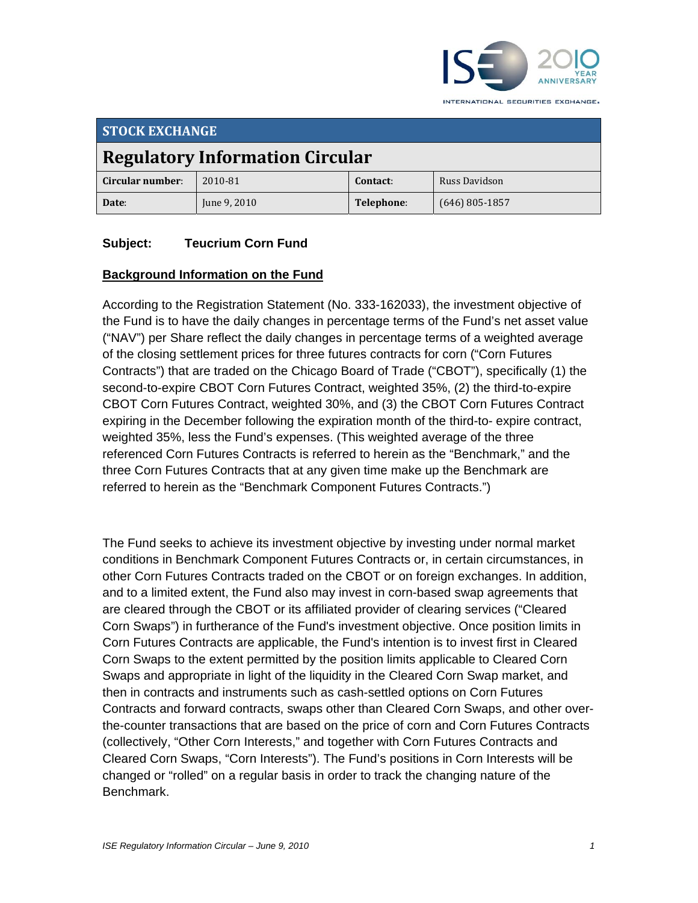

INTERNATIONAL SECURITIES EXCHANGE.

| <b>STOCK EXCHANGE</b>                  |              |            |                  |
|----------------------------------------|--------------|------------|------------------|
| <b>Regulatory Information Circular</b> |              |            |                  |
| Circular number:                       | 2010-81      | Contact:   | Russ Davidson    |
| Date:                                  | June 9, 2010 | Telephone: | $(646)$ 805-1857 |

# **Subject: Teucrium Corn Fund**

## **Background Information on the Fund**

According to the Registration Statement (No. 333-162033), the investment objective of the Fund is to have the daily changes in percentage terms of the Fund's net asset value ("NAV") per Share reflect the daily changes in percentage terms of a weighted average of the closing settlement prices for three futures contracts for corn ("Corn Futures Contracts") that are traded on the Chicago Board of Trade ("CBOT"), specifically (1) the second-to-expire CBOT Corn Futures Contract, weighted 35%, (2) the third-to-expire CBOT Corn Futures Contract, weighted 30%, and (3) the CBOT Corn Futures Contract expiring in the December following the expiration month of the third-to- expire contract, weighted 35%, less the Fund's expenses. (This weighted average of the three referenced Corn Futures Contracts is referred to herein as the "Benchmark," and the three Corn Futures Contracts that at any given time make up the Benchmark are referred to herein as the "Benchmark Component Futures Contracts.")

The Fund seeks to achieve its investment objective by investing under normal market conditions in Benchmark Component Futures Contracts or, in certain circumstances, in other Corn Futures Contracts traded on the CBOT or on foreign exchanges. In addition, and to a limited extent, the Fund also may invest in corn-based swap agreements that are cleared through the CBOT or its affiliated provider of clearing services ("Cleared Corn Swaps") in furtherance of the Fund's investment objective. Once position limits in Corn Futures Contracts are applicable, the Fund's intention is to invest first in Cleared Corn Swaps to the extent permitted by the position limits applicable to Cleared Corn Swaps and appropriate in light of the liquidity in the Cleared Corn Swap market, and then in contracts and instruments such as cash-settled options on Corn Futures Contracts and forward contracts, swaps other than Cleared Corn Swaps, and other overthe-counter transactions that are based on the price of corn and Corn Futures Contracts (collectively, "Other Corn Interests," and together with Corn Futures Contracts and Cleared Corn Swaps, "Corn Interests"). The Fund's positions in Corn Interests will be changed or "rolled" on a regular basis in order to track the changing nature of the Benchmark.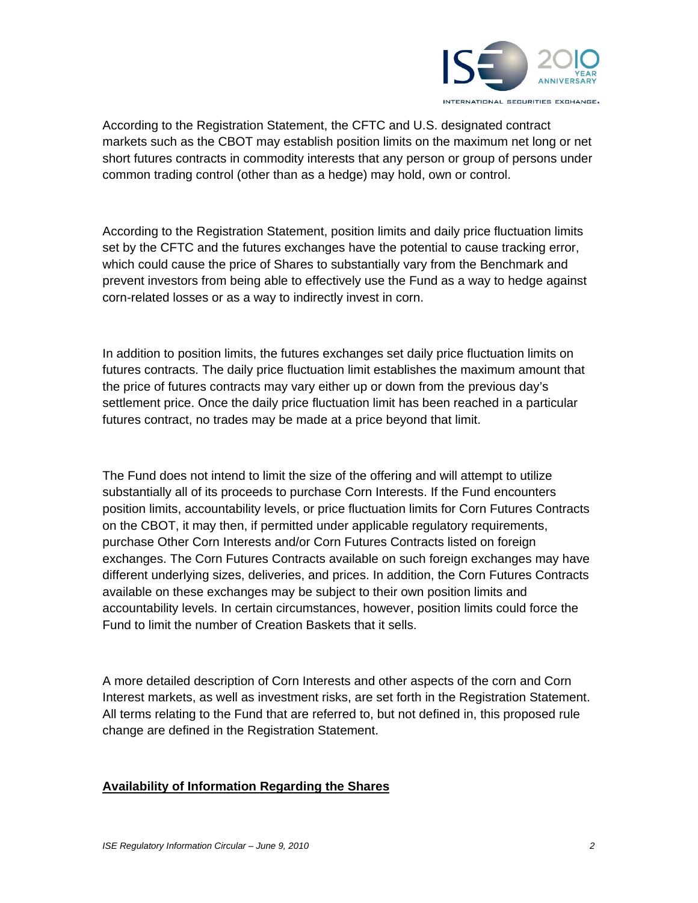

According to the Registration Statement, the CFTC and U.S. designated contract markets such as the CBOT may establish position limits on the maximum net long or net short futures contracts in commodity interests that any person or group of persons under common trading control (other than as a hedge) may hold, own or control.

According to the Registration Statement, position limits and daily price fluctuation limits set by the CFTC and the futures exchanges have the potential to cause tracking error, which could cause the price of Shares to substantially vary from the Benchmark and prevent investors from being able to effectively use the Fund as a way to hedge against corn-related losses or as a way to indirectly invest in corn.

In addition to position limits, the futures exchanges set daily price fluctuation limits on futures contracts. The daily price fluctuation limit establishes the maximum amount that the price of futures contracts may vary either up or down from the previous day's settlement price. Once the daily price fluctuation limit has been reached in a particular futures contract, no trades may be made at a price beyond that limit.

The Fund does not intend to limit the size of the offering and will attempt to utilize substantially all of its proceeds to purchase Corn Interests. If the Fund encounters position limits, accountability levels, or price fluctuation limits for Corn Futures Contracts on the CBOT, it may then, if permitted under applicable regulatory requirements, purchase Other Corn Interests and/or Corn Futures Contracts listed on foreign exchanges. The Corn Futures Contracts available on such foreign exchanges may have different underlying sizes, deliveries, and prices. In addition, the Corn Futures Contracts available on these exchanges may be subject to their own position limits and accountability levels. In certain circumstances, however, position limits could force the Fund to limit the number of Creation Baskets that it sells.

A more detailed description of Corn Interests and other aspects of the corn and Corn Interest markets, as well as investment risks, are set forth in the Registration Statement. All terms relating to the Fund that are referred to, but not defined in, this proposed rule change are defined in the Registration Statement.

## **Availability of Information Regarding the Shares**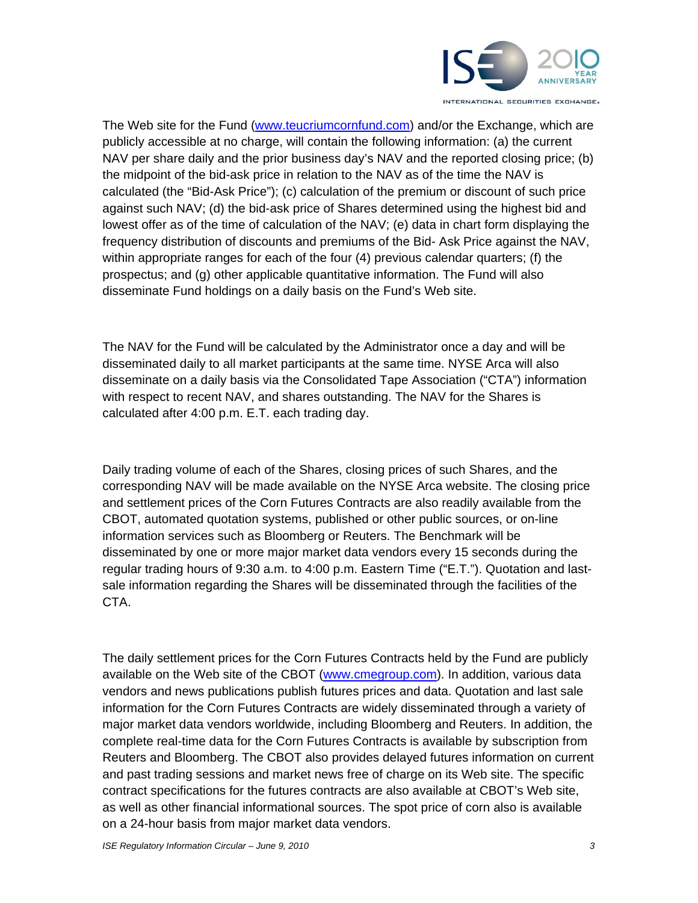

The Web site for the Fund (www.teucriumcornfund.com) and/or the Exchange, which are publicly accessible at no charge, will contain the following information: (a) the current NAV per share daily and the prior business day's NAV and the reported closing price; (b) the midpoint of the bid-ask price in relation to the NAV as of the time the NAV is calculated (the "Bid-Ask Price"); (c) calculation of the premium or discount of such price against such NAV; (d) the bid-ask price of Shares determined using the highest bid and lowest offer as of the time of calculation of the NAV; (e) data in chart form displaying the frequency distribution of discounts and premiums of the Bid- Ask Price against the NAV, within appropriate ranges for each of the four (4) previous calendar quarters; (f) the prospectus; and (g) other applicable quantitative information. The Fund will also disseminate Fund holdings on a daily basis on the Fund's Web site.

The NAV for the Fund will be calculated by the Administrator once a day and will be disseminated daily to all market participants at the same time. NYSE Arca will also disseminate on a daily basis via the Consolidated Tape Association ("CTA") information with respect to recent NAV, and shares outstanding. The NAV for the Shares is calculated after 4:00 p.m. E.T. each trading day.

Daily trading volume of each of the Shares, closing prices of such Shares, and the corresponding NAV will be made available on the NYSE Arca website. The closing price and settlement prices of the Corn Futures Contracts are also readily available from the CBOT, automated quotation systems, published or other public sources, or on-line information services such as Bloomberg or Reuters. The Benchmark will be disseminated by one or more major market data vendors every 15 seconds during the regular trading hours of 9:30 a.m. to 4:00 p.m. Eastern Time ("E.T."). Quotation and lastsale information regarding the Shares will be disseminated through the facilities of the CTA.

The daily settlement prices for the Corn Futures Contracts held by the Fund are publicly available on the Web site of the CBOT (www.cmegroup.com). In addition, various data vendors and news publications publish futures prices and data. Quotation and last sale information for the Corn Futures Contracts are widely disseminated through a variety of major market data vendors worldwide, including Bloomberg and Reuters. In addition, the complete real-time data for the Corn Futures Contracts is available by subscription from Reuters and Bloomberg. The CBOT also provides delayed futures information on current and past trading sessions and market news free of charge on its Web site. The specific contract specifications for the futures contracts are also available at CBOT's Web site, as well as other financial informational sources. The spot price of corn also is available on a 24-hour basis from major market data vendors.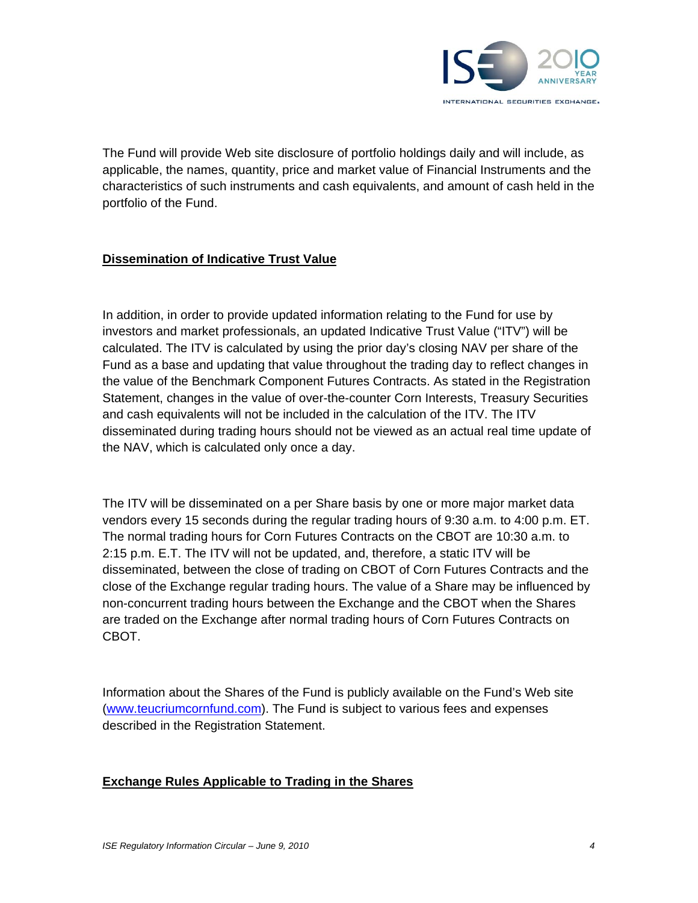

The Fund will provide Web site disclosure of portfolio holdings daily and will include, as applicable, the names, quantity, price and market value of Financial Instruments and the characteristics of such instruments and cash equivalents, and amount of cash held in the portfolio of the Fund.

# **Dissemination of Indicative Trust Value**

In addition, in order to provide updated information relating to the Fund for use by investors and market professionals, an updated Indicative Trust Value ("ITV") will be calculated. The ITV is calculated by using the prior day's closing NAV per share of the Fund as a base and updating that value throughout the trading day to reflect changes in the value of the Benchmark Component Futures Contracts. As stated in the Registration Statement, changes in the value of over-the-counter Corn Interests, Treasury Securities and cash equivalents will not be included in the calculation of the ITV. The ITV disseminated during trading hours should not be viewed as an actual real time update of the NAV, which is calculated only once a day.

The ITV will be disseminated on a per Share basis by one or more major market data vendors every 15 seconds during the regular trading hours of 9:30 a.m. to 4:00 p.m. ET. The normal trading hours for Corn Futures Contracts on the CBOT are 10:30 a.m. to 2:15 p.m. E.T. The ITV will not be updated, and, therefore, a static ITV will be disseminated, between the close of trading on CBOT of Corn Futures Contracts and the close of the Exchange regular trading hours. The value of a Share may be influenced by non-concurrent trading hours between the Exchange and the CBOT when the Shares are traded on the Exchange after normal trading hours of Corn Futures Contracts on CBOT.

Information about the Shares of the Fund is publicly available on the Fund's Web site (www.teucriumcornfund.com). The Fund is subject to various fees and expenses described in the Registration Statement.

## **Exchange Rules Applicable to Trading in the Shares**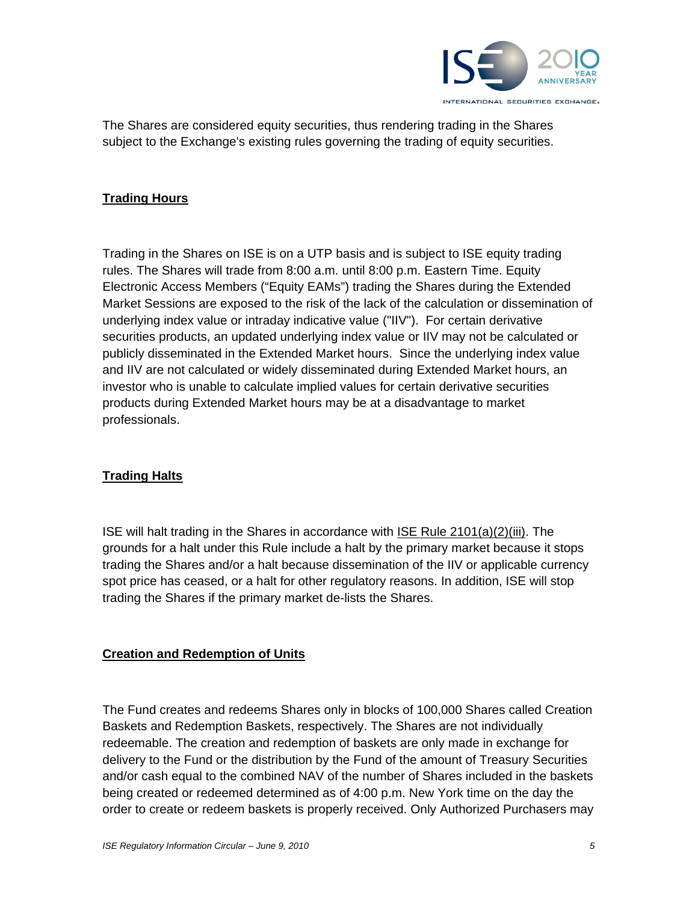

The Shares are considered equity securities, thus rendering trading in the Shares subject to the Exchange's existing rules governing the trading of equity securities.

# **Trading Hours**

Trading in the Shares on ISE is on a UTP basis and is subject to ISE equity trading rules. The Shares will trade from 8:00 a.m. until 8:00 p.m. Eastern Time. Equity Electronic Access Members ("Equity EAMs") trading the Shares during the Extended Market Sessions are exposed to the risk of the lack of the calculation or dissemination of underlying index value or intraday indicative value ("IIV"). For certain derivative securities products, an updated underlying index value or IIV may not be calculated or publicly disseminated in the Extended Market hours. Since the underlying index value and IIV are not calculated or widely disseminated during Extended Market hours, an investor who is unable to calculate implied values for certain derivative securities products during Extended Market hours may be at a disadvantage to market professionals.

## **Trading Halts**

ISE will halt trading in the Shares in accordance with ISE Rule 2101(a)(2)(iii). The grounds for a halt under this Rule include a halt by the primary market because it stops trading the Shares and/or a halt because dissemination of the IIV or applicable currency spot price has ceased, or a halt for other regulatory reasons. In addition, ISE will stop trading the Shares if the primary market de-lists the Shares.

## **Creation and Redemption of Units**

The Fund creates and redeems Shares only in blocks of 100,000 Shares called Creation Baskets and Redemption Baskets, respectively. The Shares are not individually redeemable. The creation and redemption of baskets are only made in exchange for delivery to the Fund or the distribution by the Fund of the amount of Treasury Securities and/or cash equal to the combined NAV of the number of Shares included in the baskets being created or redeemed determined as of 4:00 p.m. New York time on the day the order to create or redeem baskets is properly received. Only Authorized Purchasers may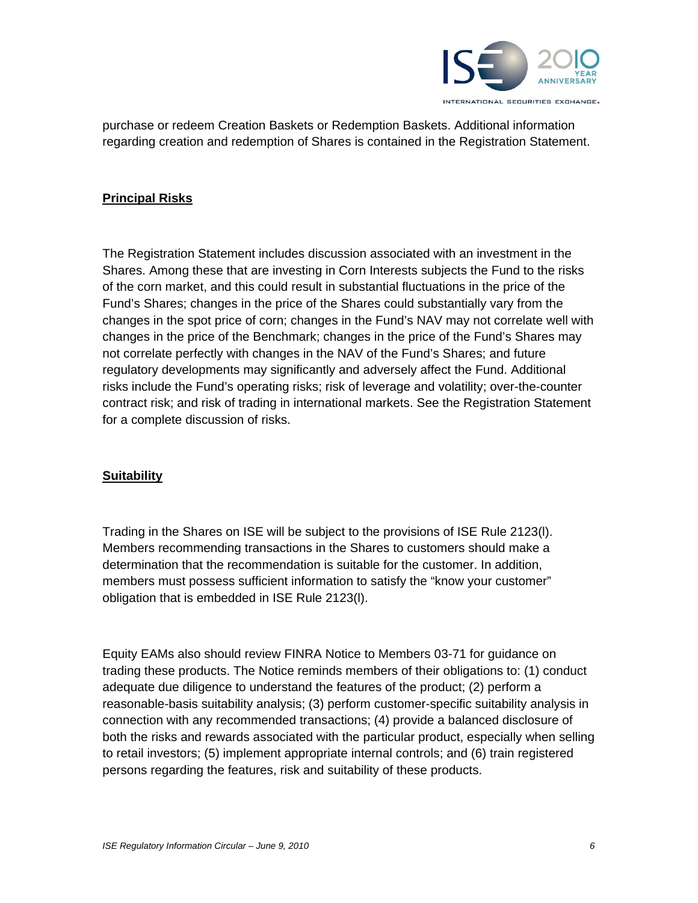

purchase or redeem Creation Baskets or Redemption Baskets. Additional information regarding creation and redemption of Shares is contained in the Registration Statement.

## **Principal Risks**

The Registration Statement includes discussion associated with an investment in the Shares. Among these that are investing in Corn Interests subjects the Fund to the risks of the corn market, and this could result in substantial fluctuations in the price of the Fund's Shares; changes in the price of the Shares could substantially vary from the changes in the spot price of corn; changes in the Fund's NAV may not correlate well with changes in the price of the Benchmark; changes in the price of the Fund's Shares may not correlate perfectly with changes in the NAV of the Fund's Shares; and future regulatory developments may significantly and adversely affect the Fund. Additional risks include the Fund's operating risks; risk of leverage and volatility; over-the-counter contract risk; and risk of trading in international markets. See the Registration Statement for a complete discussion of risks.

## **Suitability**

Trading in the Shares on ISE will be subject to the provisions of ISE Rule 2123(l). Members recommending transactions in the Shares to customers should make a determination that the recommendation is suitable for the customer. In addition, members must possess sufficient information to satisfy the "know your customer" obligation that is embedded in ISE Rule 2123(l).

Equity EAMs also should review FINRA Notice to Members 03-71 for guidance on trading these products. The Notice reminds members of their obligations to: (1) conduct adequate due diligence to understand the features of the product; (2) perform a reasonable-basis suitability analysis; (3) perform customer-specific suitability analysis in connection with any recommended transactions; (4) provide a balanced disclosure of both the risks and rewards associated with the particular product, especially when selling to retail investors; (5) implement appropriate internal controls; and (6) train registered persons regarding the features, risk and suitability of these products.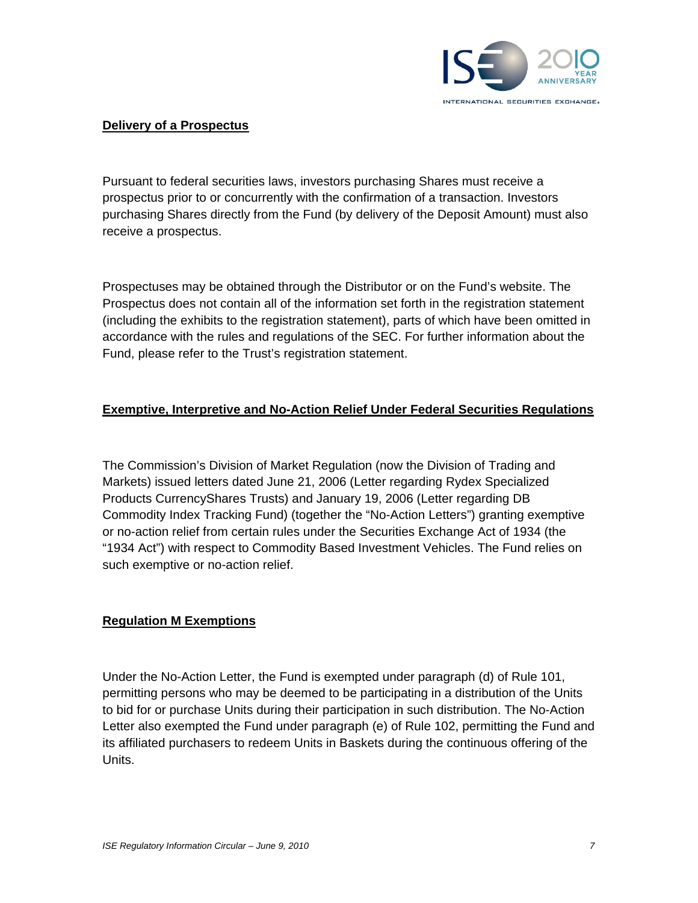

## **Delivery of a Prospectus**

Pursuant to federal securities laws, investors purchasing Shares must receive a prospectus prior to or concurrently with the confirmation of a transaction. Investors purchasing Shares directly from the Fund (by delivery of the Deposit Amount) must also receive a prospectus.

Prospectuses may be obtained through the Distributor or on the Fund's website. The Prospectus does not contain all of the information set forth in the registration statement (including the exhibits to the registration statement), parts of which have been omitted in accordance with the rules and regulations of the SEC. For further information about the Fund, please refer to the Trust's registration statement.

# **Exemptive, Interpretive and No-Action Relief Under Federal Securities Regulations**

The Commission's Division of Market Regulation (now the Division of Trading and Markets) issued letters dated June 21, 2006 (Letter regarding Rydex Specialized Products CurrencyShares Trusts) and January 19, 2006 (Letter regarding DB Commodity Index Tracking Fund) (together the "No-Action Letters") granting exemptive or no-action relief from certain rules under the Securities Exchange Act of 1934 (the "1934 Act") with respect to Commodity Based Investment Vehicles. The Fund relies on such exemptive or no-action relief.

## **Regulation M Exemptions**

Under the No-Action Letter, the Fund is exempted under paragraph (d) of Rule 101, permitting persons who may be deemed to be participating in a distribution of the Units to bid for or purchase Units during their participation in such distribution. The No-Action Letter also exempted the Fund under paragraph (e) of Rule 102, permitting the Fund and its affiliated purchasers to redeem Units in Baskets during the continuous offering of the Units.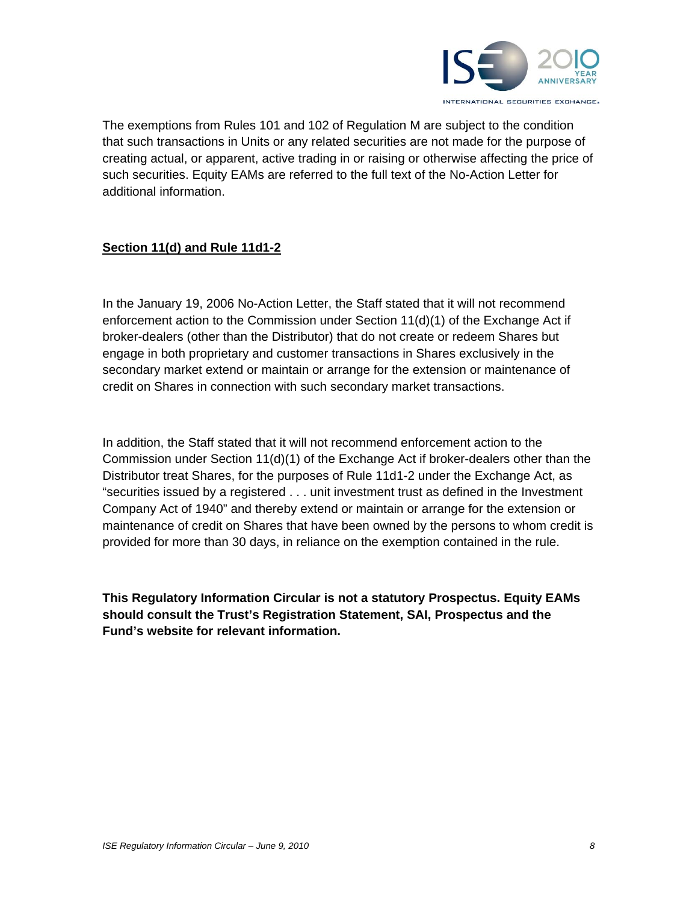

The exemptions from Rules 101 and 102 of Regulation M are subject to the condition that such transactions in Units or any related securities are not made for the purpose of creating actual, or apparent, active trading in or raising or otherwise affecting the price of such securities. Equity EAMs are referred to the full text of the No-Action Letter for additional information.

# **Section 11(d) and Rule 11d1-2**

In the January 19, 2006 No-Action Letter, the Staff stated that it will not recommend enforcement action to the Commission under Section  $11(d)(1)$  of the Exchange Act if broker-dealers (other than the Distributor) that do not create or redeem Shares but engage in both proprietary and customer transactions in Shares exclusively in the secondary market extend or maintain or arrange for the extension or maintenance of credit on Shares in connection with such secondary market transactions.

In addition, the Staff stated that it will not recommend enforcement action to the Commission under Section  $11(d)(1)$  of the Exchange Act if broker-dealers other than the Distributor treat Shares, for the purposes of Rule 11d1-2 under the Exchange Act, as "securities issued by a registered . . . unit investment trust as defined in the Investment Company Act of 1940" and thereby extend or maintain or arrange for the extension or maintenance of credit on Shares that have been owned by the persons to whom credit is provided for more than 30 days, in reliance on the exemption contained in the rule.

**This Regulatory Information Circular is not a statutory Prospectus. Equity EAMs should consult the Trust's Registration Statement, SAI, Prospectus and the Fund's website for relevant information.**